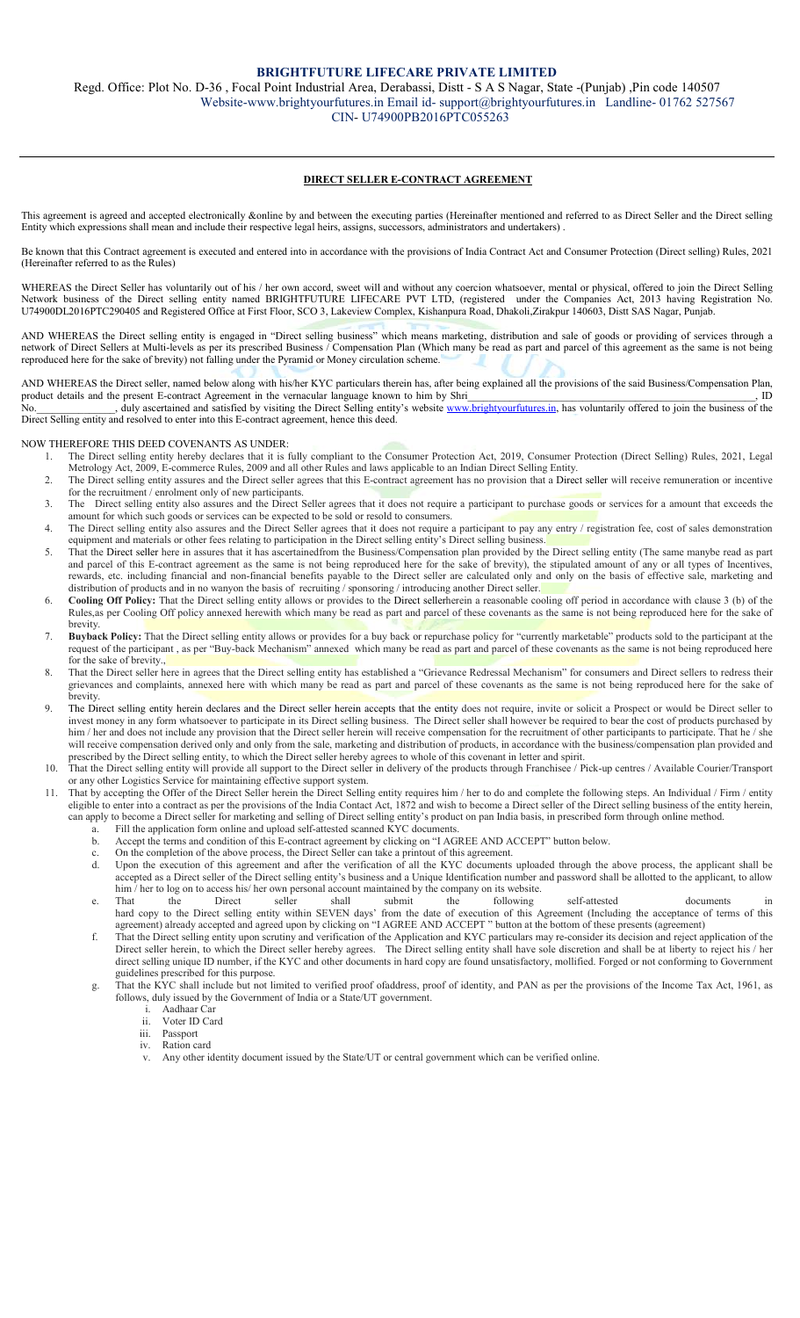### BRIGHTFUTURE LIFECARE PRIVATE LIMITED

Regd. Office: Plot No. D-36 , Focal Point Industrial Area, Derabassi, Distt - S A S Nagar, State -(Punjab) ,Pin code 140507 Website-www.brightyourfutures.in Email id- support@brightyourfutures.in Landline- 01762 527567 CIN- U74900PB2016PTC055263

### DIRECT SELLER E-CONTRACT AGREEMENT

This agreement is agreed and accepted electronically &online by and between the executing parties (Hereinafter mentioned and referred to as Direct Seller and the Direct selling Entity which expressions shall mean and include their respective legal heirs, assigns, successors, administrators and undertakers) .

Be known that this Contract agreement is executed and entered into in accordance with the provisions of India Contract Act and Consumer Protection (Direct selling) Rules, 2021 (Hereinafter referred to as the Rules)

WHEREAS the Direct Seller has voluntarily out of his / her own accord, sweet will and without any coercion whatsoever, mental or physical, offered to join the Direct Selling Network business of the Direct selling entity named BRIGHTFUTURE LIFECARE PVT LTD, (registered under the Companies Act, 2013 having Registration No. U74900DL2016PTC290405 and Registered Office at First Floor, SCO 3, Lakeview Complex, Kishanpura Road, Dhakoli,Zirakpur 140603, Distt SAS Nagar, Punjab.

AND WHEREAS the Direct selling entity is engaged in "Direct selling business" which means marketing, distribution and sale of goods or providing of services through a network of Direct Sellers at Multi-levels as per its prescribed Business / Compensation Plan (Which many be read as part and parcel of this agreement as the same is not being reproduced here for the sake of brevity) not falling under the Pyramid or Money circulation scheme.

AND WHEREAS the Direct seller, named below along with his/her KYC particulars therein has, after being explained all the provisions of the said Business/Compensation Plan,<br>ID product details and the present E-contract Agreement in the vernacular language known to him by Shri duly ascertained and satisfied by visiting the Direct Selling entity's website www.brightyourfutures.in, has voluntarily offered to join the business of the Direct Selling entity and resolved to enter into this E-contract agreement, hence this deed.

NOW THEREFORE THIS DEED COVENANTS AS UNDER:

- 1. The Direct selling entity hereby declares that it is fully compliant to the Consumer Protection Act, 2019, Consumer Protection (Direct Selling) Rules, 2021, Legal Metrology Act, 2009, E-commerce Rules, 2009 and all other Rules and laws applicable to an Indian Direct Selling Entity.
- 2. The Direct selling entity assures and the Direct seller agrees that this E-contract agreement has no provision that a Direct seller will receive remuneration or incentive for the recruitment / enrolment only of new participants.
- 3. The Direct selling entity also assures and the Direct Seller agrees that it does not require a participant to purchase goods or services for a amount that exceeds the amount for which such goods or services can be expected to be sold or resold to consumers.
- 4. The Direct selling entity also assures and the Direct Seller agrees that it does not require a participant to pay any entry / registration fee, cost of sales demonstration equipment and materials or other fees relating to participation in the Direct selling entity's Direct selling business.
- 5. That the Direct seller here in assures that it has ascertainedfrom the Business/Compensation plan provided by the Direct selling entity (The same manybe read as part and parcel of this E-contract agreement as the same is not being reproduced here for the sake of brevity), the stipulated amount of any or all types of Incentives, rewards, etc. including financial and non-financial benefits payable to the Direct seller are calculated only and only on the basis of effective sale, marketing and distribution of products and in no wanyon the basis of recruiting / sponsoring / introducing another Direct seller.
- 6. Cooling Off Policy: That the Direct selling entity allows or provides to the Direct sellerherein a reasonable cooling off period in accordance with clause 3 (b) of the Rules,as per Cooling Off policy annexed herewith which many be read as part and parcel of these covenants as the same is not being reproduced here for the sake of brevity.
- Buyback Policy: That the Direct selling entity allows or provides for a buy back or repurchase policy for "currently marketable" products sold to the participant at the request of the participant , as per "Buy-back Mechanism" annexed which many be read as part and parcel of these covenants as the same is not being reproduced here for the sake of brevity.,
- That the Direct seller here in agrees that the Direct selling entity has established a "Grievance Redressal Mechanism" for consumers and Direct sellers to redress their grievances and complaints, annexed here with which many be read as part and parcel of these covenants as the same is not being reproduced here for the sake of brevity.
- 9. The Direct selling entity herein declares and the Direct seller herein accepts that the entity does not require, invite or solicit a Prospect or would be Direct seller to invest money in any form whatsoever to participate in its Direct selling business. The Direct seller shall however be required to bear the cost of products purchased by him / her and does not include any provision that the Direct seller herein will receive compensation for the recruitment of other participants to participate. That he / she will receive compensation derived only and only from the sale, marketing and distribution of products, in accordance with the business/compensation plan provided and prescribed by the Direct selling entity, to which the Direct seller hereby agrees to whole of this covenant in letter and spirit.
- 10. That the Direct selling entity will provide all support to the Direct seller in delivery of the products through Franchisee / Pick-up centres / Available Courier/Transport or any other Logistics Service for maintaining effective support system.
- 11. That by accepting the Offer of the Direct Seller herein the Direct Selling entity requires him / her to do and complete the following steps. An Individual / Firm / entity eligible to enter into a contract as per the provisions of the India Contact Act, 1872 and wish to become a Direct seller of the Direct selling business of the entity herein, can apply to become a Direct seller for marketing and selling of Direct selling entity's product on pan India basis, in prescribed form through online method.
	- Fill the application form online and upload self-attested scanned KYC documents.
	- b. Accept the terms and condition of this E-contract agreement by clicking on "I AGREE AND ACCEPT" button below.
	- c. On the completion of the above process, the Direct Seller can take a printout of this agreement.<br>d. Upon the execution of this agreement and after the verification of all the KYC documents
	- Upon the execution of this agreement and after the verification of all the KYC documents uploaded through the above process, the applicant shall be accepted as a Direct seller of the Direct selling entity's business and a Unique Identification number and password shall be allotted to the applicant, to allow him / her to log on to access his/ her own personal account maintained by the company on its website.<br>That the Direct seller shall submit the following
	- e. That the Direct seller shall submit the following self-attested documents in hard copy to the Direct selling entity within SEVEN days' from the date of execution of this Agreement (Including the acceptance of terms of this agreement) already accepted and agreed upon by clicking on "I AGREE AND ACCEPT " button at the bottom of these presents (agreement)
	- f. That the Direct selling entity upon scrutiny and verification of the Application and KYC particulars may re-consider its decision and reject application of the Direct seller herein, to which the Direct seller hereby agrees. The Direct selling entity shall have sole discretion and shall be at liberty to reject his / her direct selling unique ID number, if the KYC and other documents in hard copy are found unsatisfactory, mollified. Forged or not conforming to Government guidelines prescribed for this purpose.
	- g. That the KYC shall include but not limited to verified proof ofaddress, proof of identity, and PAN as per the provisions of the Income Tax Act, 1961, as follows, duly issued by the Government of India or a State/UT government.
		- i. Aadhaar Car
		- ii. Voter ID Card
		- iii. Passport
		- iv. Ration card
		- Any other identity document issued by the State/UT or central government which can be verified online.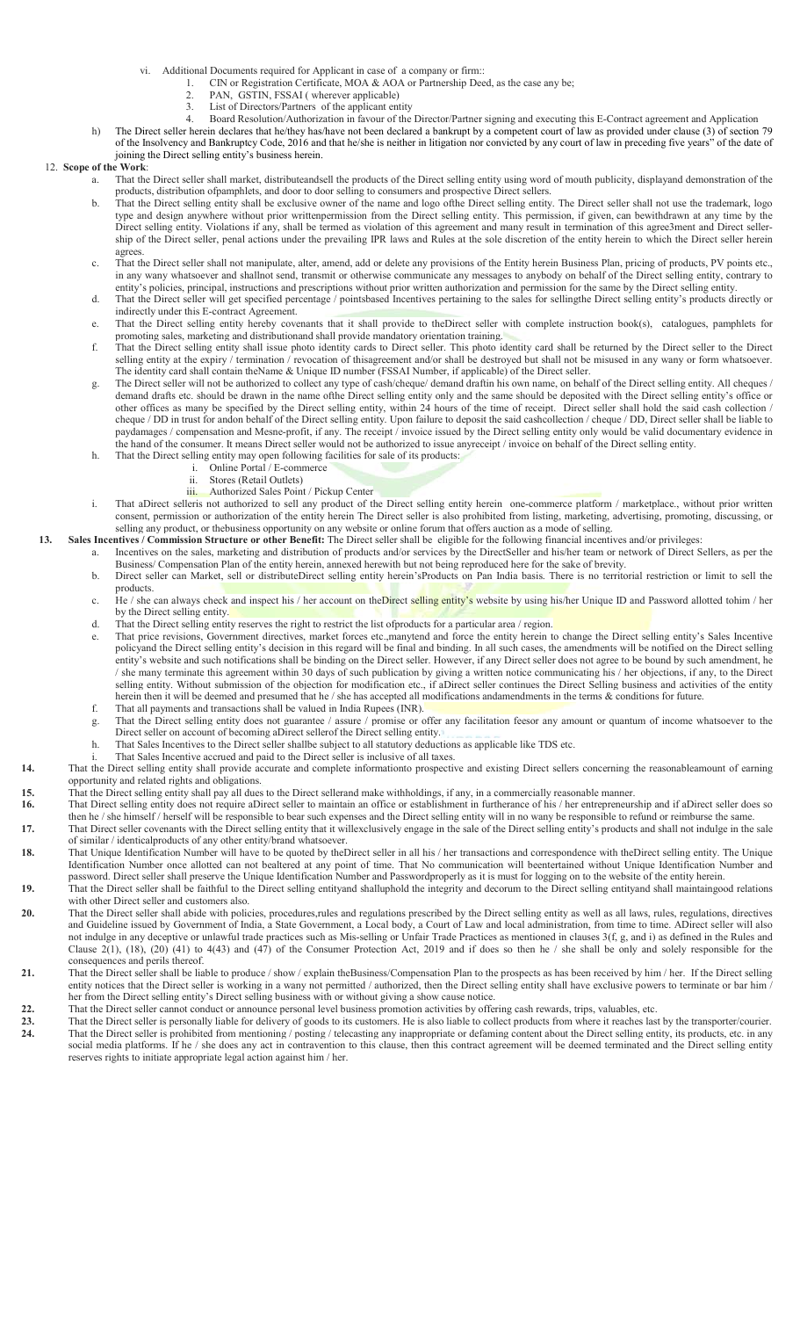- vi. Additional Documents required for Applicant in case of a company or firm::<br>1. CIN or Registration Certificate, MOA & AOA or Partnership Dee
	- 1. CIN or Registration Certificate, MOA & AOA or Partnership Deed, as the case any be;<br>
	2. PAN GSTIN ESSAI (wherever annicable)
		- PAN, GSTIN, FSSAI ( wherever applicable)
	- 3. List of Directors/Partners of the applicant entity
- 4. Board Resolution/Authorization in favour of the Director/Partner signing and executing this E-Contract agreement and Application
- h) The Direct seller herein declares that he/they has/have not been declared a bankrupt by a competent court of law as provided under clause (3) of section 79 of the Insolvency and Bankruptcy Code, 2016 and that he/she is neither in litigation nor convicted by any court of law in preceding five years" of the date of joining the Direct selling entity's business herein.

### 12. Scope of the Work:

- That the Direct seller shall market, distributeandsell the products of the Direct selling entity using word of mouth publicity, displayand demonstration of the products, distribution ofpamphlets, and door to door selling to consumers and prospective Direct sellers.
	- b. That the Direct selling entity shall be exclusive owner of the name and logo ofthe Direct selling entity. The Direct seller shall not use the trademark, logo type and design anywhere without prior writtenpermission from the Direct selling entity. This permission, if given, can bewithdrawn at any time by the Direct selling entity. Violations if any, shall be termed as violation of this agreement and many result in termination of this agree3ment and Direct sellership of the Direct seller, penal actions under the prevailing IPR laws and Rules at the sole discretion of the entity herein to which the Direct seller herein agrees.
	- c. That the Direct seller shall not manipulate, alter, amend, add or delete any provisions of the Entity herein Business Plan, pricing of products, PV points etc., in any wany whatsoever and shallnot send, transmit or otherwise communicate any messages to anybody on behalf of the Direct selling entity, contrary to entity's policies, principal, instructions and prescriptions without prior written authorization and permission for the same by the Direct selling entity.
	- d. That the Direct seller will get specified percentage / pointsbased Incentives pertaining to the sales for sellingthe Direct selling entity's products directly or indirectly under this E-contract Agreement.
	- That the Direct selling entity hereby covenants that it shall provide to theDirect seller with complete instruction book(s), catalogues, pamphlets for promoting sales, marketing and distributionand shall provide mandatory orientation training.
	- f. That the Direct selling entity shall issue photo identity cards to Direct seller. This photo identity card shall be returned by the Direct seller to the Direct selling entity at the expiry / termination / revocation of thisagreement and/or shall be destroyed but shall not be misused in any wany or form whatsoever. The identity card shall contain theName & Unique ID number (FSSAI Number, if applicable) of the Direct seller.
	- g. The Direct seller will not be authorized to collect any type of cash/cheque/ demand draftin his own name, on behalf of the Direct selling entity. All cheques / demand drafts etc. should be drawn in the name ofthe Direct selling entity only and the same should be deposited with the Direct selling entity's office or other offices as many be specified by the Direct selling entity, within 24 hours of the time of receipt. Direct seller shall hold the said cash collection / cheque / DD in trust for andon behalf of the Direct selling entity. Upon failure to deposit the said cashcollection / cheque / DD, Direct seller shall be liable to paydamages / compensation and Mesne-profit, if any. The receipt / invoice issued by the Direct selling entity only would be valid documentary evidence in the hand of the consumer. It means Direct seller would not be authorized to issue anyreceipt / invoice on behalf of the Direct selling entity.
	- h. That the Direct selling entity may open following facilities for sale of its products:<br>i. Online Portal / E-commerce
		- Online Portal / E-commerce
		- ii. Stores (Retail Outlets)
		- iii. Authorized Sales Point / Pickup Center
- i. That aDirect selleris not authorized to sell any product of the Direct selling entity herein one-commerce platform / marketplace., without prior written consent, permission or authorization of the entity herein The Direct seller is also prohibited from listing, marketing, advertising, promoting, discussing, or selling any product, or thebusiness opportunity on any website or online forum that offers auction as a mode of selling.
- 13. Sales Incentives / Commission Structure or other Benefit: The Direct seller shall be eligible for the following financial incentives and/or privileges:
	- a. Incentives on the sales, marketing and distribution of products and/or services by the DirectSeller and his/her team or network of Direct Sellers, as per the Business/ Compensation Plan of the entity herein, annexed herewith but not being reproduced here for the sake of brevity.
	- b. Direct seller can Market, sell or distributeDirect selling entity herein'sProducts on Pan India basis. There is no territorial restriction or limit to sell the products. c. He / she can always check and inspect his / her account on theDirect selling entity's website by using his/her Unique ID and Password allotted tohim / her
	- by the Direct selling entity. d. That the Direct selling entity reserves the right to restrict the list ofproducts for a particular area / region.
	- That price revisions, Government directives, market forces etc.,manytend and force the entity herein to change the Direct selling entity's Sales Incentive policyand the Direct selling entity's decision in this regard will be final and binding. In all such cases, the amendments will be notified on the Direct selling entity's website and such notifications shall be binding on the Direct seller. However, if any Direct seller does not agree to be bound by such amendment, he / she many terminate this agreement within 30 days of such publication by giving a written notice communicating his / her objections, if any, to the Direct selling entity. Without submission of the objection for modification etc., if aDirect seller continues the Direct Selling business and activities of the entity herein then it will be deemed and presumed that he / she has accepted all modifications andamendments in the terms & conditions for future.
	- f. That all payments and transactions shall be valued in India Rupees (INR).
	- g. That the Direct selling entity does not guarantee / assure / promise or offer any facilitation feesor any amount or quantum of income whatsoever to the Direct seller on account of becoming aDirect sellerof the Direct selling entity.
	- h. That Sales Incentives to the Direct seller shallbe subject to all statutory deductions as applicable like TDS etc.
	- That Sales Incentive accrued and paid to the Direct seller is inclusive of all taxes.
- 14. That the Direct selling entity shall provide accurate and complete informationto prospective and existing Direct sellers concerning the reasonableamount of earning opportunity and related rights and obligations.
- 15. That the Direct selling entity shall pay all dues to the Direct sellerand make withholdings, if any, in a commercially reasonable manner.

### 16. That Direct selling entity does not require aDirect seller to maintain an office or establishment in furtherance of his / her entrepreneurship and if aDirect seller does so then he / she himself / herself will be responsible to bear such expenses and the Direct selling entity will in no wany be responsible to refund or reimburse the same.

- 17. That Direct seller covenants with the Direct selling entity that it willexclusively engage in the sale of the Direct selling entity's products and shall not indulge in the sale of similar / identicalproducts of any other entity/brand whatsoever.
- 18. That Unique Identification Number will have to be quoted by theDirect seller in all his / her transactions and correspondence with theDirect selling entity. The Unique Identification Number once allotted can not bealtered at any point of time. That No communication will beentertained without Unique Identification Number and password. Direct seller shall preserve the Unique Identification Number and Passwordproperly as it is must for logging on to the website of the entity herein.
- 19. That the Direct seller shall be faithful to the Direct selling entityand shalluphold the integrity and decorum to the Direct selling entityand shall maintaingood relations with other Direct seller and customers also.
- 20. That the Direct seller shall abide with policies, procedures,rules and regulations prescribed by the Direct selling entity as well as all laws, rules, regulations, directives and Guideline issued by Government of India, a State Government, a Local body, a Court of Law and local administration, from time to time. ADirect seller will also not indulge in any deceptive or unlawful trade practices such as Mis-selling or Unfair Trade Practices as mentioned in clauses 3(f, g, and i) as defined in the Rules and Clause  $2(1)$ ,  $(18)$ ,  $(20)$   $(41)$  to  $4(43)$  and  $(47)$  of the Consumer Protection Act, 2019 and if does so then he / she shall be only and solely responsible for the consequences and perils thereof.
- 21. That the Direct seller shall be liable to produce / show / explain theBusiness/Compensation Plan to the prospects as has been received by him / her. If the Direct selling entity notices that the Direct seller is working in a wany not permitted / authorized, then the Direct selling entity shall have exclusive powers to terminate or bar him  $\frac{1}{\sqrt{2}}$ her from the Direct selling entity's Direct selling business with or without giving a show cause notice.
- 
- 22. That the Direct seller cannot conduct or announce personal level business promotion activities by offering cash rewards, trips, valuables, etc.<br>23. That the Direct seller is presonally liable for delivery of goods to i That the Direct seller is personally liable for delivery of goods to its customers. He is also liable to collect products from where it reaches last by the transporter/courier. That the Direct seller is prohibited from mentioning / posting / telecasting any inappropriate or defaming content about the Direct selling entity, its products, etc. in any social media platforms. If he / she does any act in contravention to this clause, then this contract agreement will be deemed terminated and the Direct selling entity reserves rights to initiate appropriate legal action against him / her.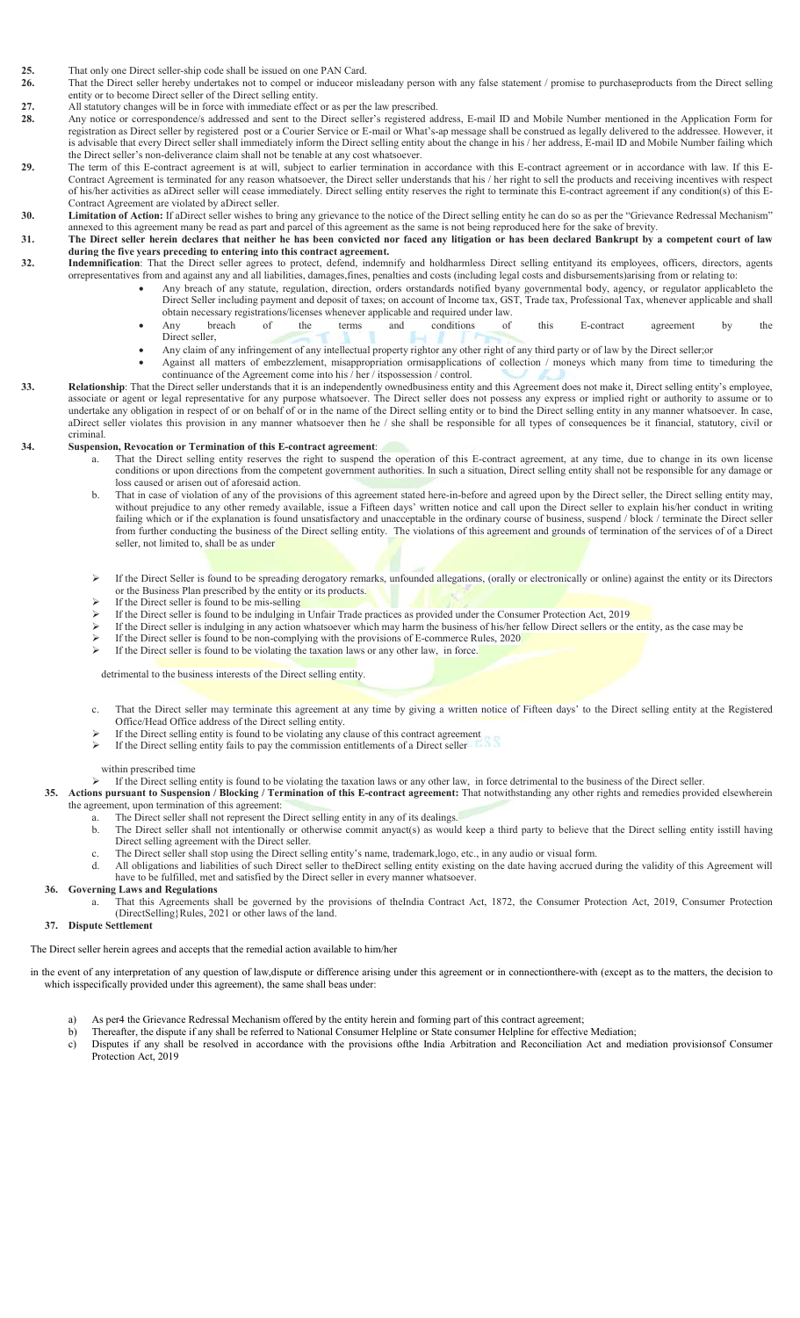25. That only one Direct seller-ship code shall be issued on one PAN Card.<br>26 That the Direct seller hereby undertakes not to compel or induceor min

- That the Direct seller hereby undertakes not to compel or induceor misleadany person with any false statement / promise to purchaseproducts from the Direct selling entity or to become Direct seller of the Direct selling entity.
- 27. All statutory changes will be in force with immediate effect or as per the law prescribed.<br>28. Any notice or correspondence/s addressed and sent to the Direct seller's registered ad
- Any notice or correspondence/s addressed and sent to the Direct seller's registered address, E-mail ID and Mobile Number mentioned in the Application Form for registration as Direct seller by registered post or a Courier Service or E-mail or What's-ap message shall be construed as legally delivered to the addressee. However, it is advisable that every Direct seller shall immediately inform the Direct selling entity about the change in his / her address, E-mail ID and Mobile Number failing which the Direct seller's non-deliverance claim shall not be tenable at any cost whatsoever.
- 29. The term of this E-contract agreement is at will, subject to earlier termination in accordance with this E-contract agreement or in accordance with law. If this E-Contract Agreement is terminated for any reason whatsoever, the Direct seller understands that his / her right to sell the products and receiving incentives with respect of his/her activities as aDirect seller will cease immediately. Direct selling entity reserves the right to terminate this E-contract agreement if any condition(s) of this E-Contract Agreement are violated by aDirect seller.
- 30. Limitation of Action: If aDirect seller wishes to bring any grievance to the notice of the Direct selling entity he can do so as per the "Grievance Redressal Mechanism"
- annexed to this agreement many be read as part and parcel of this agreement as the same is not being reproduced here for the sake of brevity. 31. The Direct seller herein declares that neither he has been convicted nor faced any litigation or has been declared Bankrupt by a competent court of law
- during the five years preceding to entering into this contract agreement. 32. Indemnification: That the Direct seller agrees to protect, defend, indemnify and holdharmless Direct selling entityand its employees, officers, directors, agents orrepresentatives from and against any and all liabilities, damages,fines, penalties and costs (including legal costs and disbursements)arising from or relating to:
	- Any breach of any statute, regulation, direction, orders orstandards notified byany governmental body, agency, or regulator applicableto the Direct Seller including payment and deposit of taxes; on account of Income tax, GST, Trade tax, Professional Tax, whenever applicable and shall
		- obtain necessary registrations/licenses whenever applicable and required under law. Any breach of the terms and conditions of this E-contract agreement by the Direct seller,
		- Any claim of any infringement of any intellectual property rightor any other right of any third party or of law by the Direct seller;or Against all matters of embezzlement, misappropriation ormisapplications of collection / moneys which many from time to timeduring the continuance of the Agreement come into his / her / itspossession / control.
- 33. Relationship: That the Direct seller understands that it is an independently ownedbusiness entity and this Agreement does not make it, Direct selling entity's employee, associate or agent or legal representative for any purpose whatsoever. The Direct seller does not possess any express or implied right or authority to assume or to undertake any obligation in respect of or on behalf of or in the name of the Direct selling entity or to bind the Direct selling entity in any manner whatsoever. In case, aDirect seller violates this provision in any manner whatsoever then he / she shall be responsible for all types of consequences be it financial, statutory, civil or criminal.

#### 34. Suspension, Revocation or Termination of this E-contract agreement:

- a. That the Direct selling entity reserves the right to suspend the operation of this E-contract agreement, at any time, due to change in its own license conditions or upon directions from the competent government authorities. In such a situation, Direct selling entity shall not be responsible for any damage or loss caused or arisen out of aforesaid action.
- b. That in case of violation of any of the provisions of this agreement stated here-in-before and agreed upon by the Direct seller, the Direct selling entity may, without prejudice to any other remedy available, issue a Fifteen days' written notice and call upon the Direct seller to explain his/her conduct in writing failing which or if the explanation is found unsatisfactory and unacceptable in the ordinary course of business, suspend / block / terminate the Direct seller from further conducting the business of the Direct selling entity. The violations of this agreement and grounds of termination of the services of of a Direct seller, not limited to, shall be as under
- If the Direct Seller is found to be spreading derogatory remarks, unfounded allegations, (orally or electronically or online) against the entity or its Directors or the Business Plan prescribed by the entity or its products.
- $\triangleright$  If the Direct seller is found to be mis-selling
- If the Direct seller is found to be indulging in Unfair Trade practices as provided under the Consumer Protection Act, 2019
- If the Direct seller is indulging in any action whatsoever which may harm the business of his/her fellow Direct sellers or the entity, as the case may be
- If the Direct seller is found to be non-complying with the provisions of E-commerce Rules, 2020
- If the Direct seller is found to be violating the taxation laws or any other law, in force.

#### detrimental to the business interests of the Direct selling entity.

- c. That the Direct seller may terminate this agreement at any time by giving a written notice of Fifteen days' to the Direct selling entity at the Registered Office/Head Office address of the Direct selling entity.
- If the Direct selling entity is found to be violating any clause of this contract agreement
- If the Direct selling entity fails to pay the commission entitlements of a Direct seller

#### within prescribed time

- If the Direct selling entity is found to be violating the taxation laws or any other law, in force detrimental to the business of the Direct seller.
- 35. Actions pursuant to Suspension / Blocking / Termination of this E-contract agreement: That notwithstanding any other rights and remedies provided elsewherein the agreement, upon termination of this agreement:
	- a. The Direct seller shall not represent the Direct selling entity in any of its dealings.
		- The Direct seller shall not intentionally or otherwise commit anyact(s) as would keep a third party to believe that the Direct selling entity isstill having Direct selling agreement with the Direct seller.
		- c. The Direct seller shall stop using the Direct selling entity's name, trademark,logo, etc., in any audio or visual form.
	- All obligations and liabilities of such Direct seller to theDirect selling entity existing on the date having accrued during the validity of this Agreement will have to be fulfilled, met and satisfied by the Direct seller in every manner whatsoever.
- 36. Governing Laws and Regulations
	- a. That this Agreements shall be governed by the provisions of theIndia Contract Act, 1872, the Consumer Protection Act, 2019, Consumer Protection (DirectSelling}Rules, 2021 or other laws of the land.

#### 37. Dispute Settlement

The Direct seller herein agrees and accepts that the remedial action available to him/her

in the event of any interpretation of any question of law,dispute or difference arising under this agreement or in connectionthere-with (except as to the matters, the decision to which isspecifically provided under this agreement), the same shall beas under:

- a) As per4 the Grievance Redressal Mechanism offered by the entity herein and forming part of this contract agreement;
- b) Thereafter, the dispute if any shall be referred to National Consumer Helpline or State consumer Helpline for effective Mediation;
- c) Disputes if any shall be resolved in accordance with the provisions ofthe India Arbitration and Reconciliation Act and mediation provisionsof Consumer Protection Act, 2019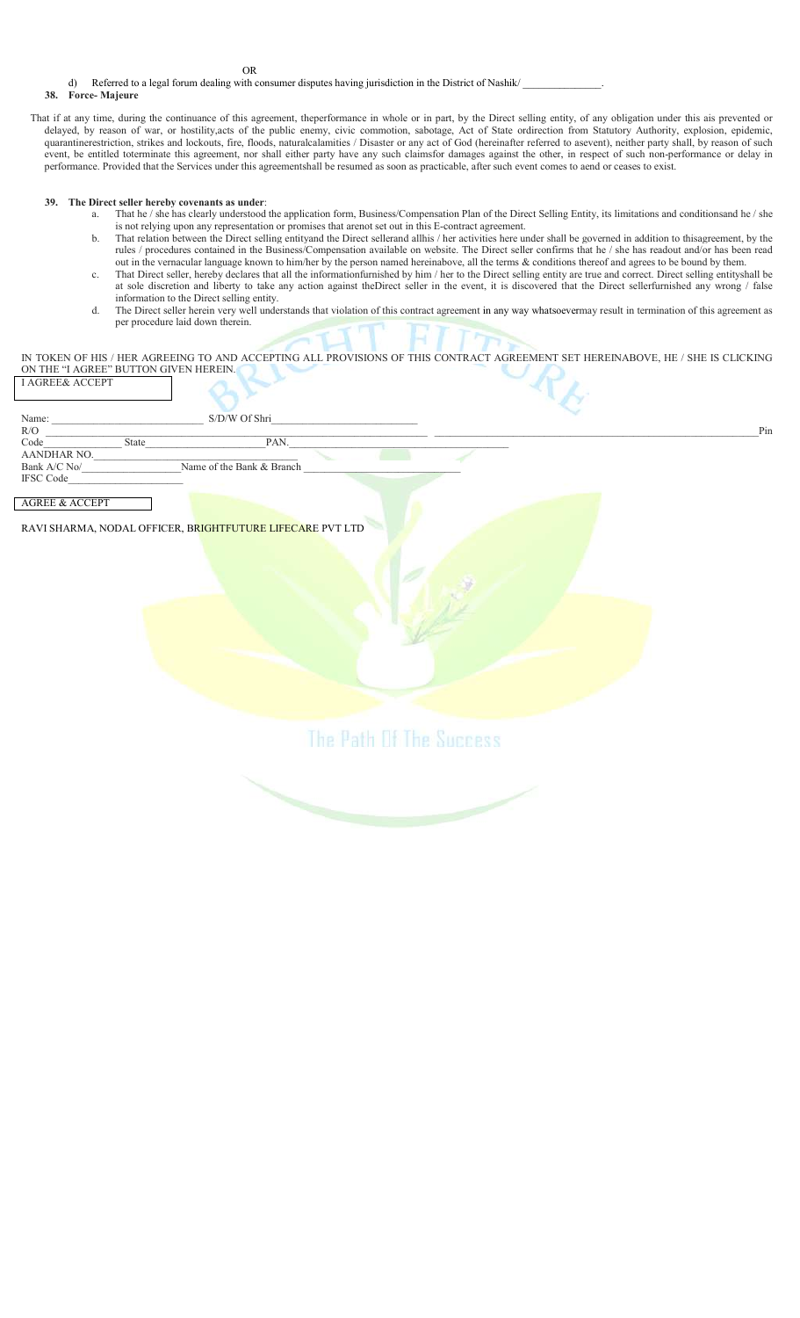OR

d) Referred to a legal forum dealing with consumer disputes having jurisdiction in the District of Nashik/

#### 38. Force- Majeure

That if at any time, during the continuance of this agreement, theperformance in whole or in part, by the Direct selling entity, of any obligation under this ais prevented or delayed, by reason of war, or hostility,acts of the public enemy, civic commotion, sabotage, Act of State ordirection from Statutory Authority, explosion, epidemic, quarantinerestriction, strikes and lockouts, fire, floods, naturalcalamities / Disaster or any act of God (hereinafter referred to asevent), neither party shall, by reason of such event, be entitled toterminate this agreement, nor shall either party have any such claimsfor damages against the other, in respect of such non-performance or delay in performance. Provided that the Services under this agreementshall be resumed as soon as practicable, after such event comes to aend or ceases to exist.

#### 39. The Direct seller hereby covenants as under:

- a. That he / she has clearly understood the application form, Business/Compensation Plan of the Direct Selling Entity, its limitations and conditionsand he / she is not relying upon any representation or promises that arenot set out in this E-contract agreement.
- b. That relation between the Direct selling entityand the Direct sellerand allhis / her activities here under shall be governed in addition to thisagreement, by the rules / procedures contained in the Business/Compensation available on website. The Direct seller confirms that he / she has readout and/or has been read out in the vernacular language known to him/her by the person named hereinabove, all the terms & conditions thereof and agrees to be bound by them.
- c. That Direct seller, hereby declares that all the informationfurnished by him / her to the Direct selling entity are true and correct. Direct selling entityshall be at sole discretion and liberty to take any action against theDirect seller in the event, it is discovered that the Direct sellerfurnished any wrong / false information to the Direct selling entity.
- d. The Direct seller herein very well understands that violation of this contract agreement in any way whatsoevermay result in termination of this agreement as per procedure laid down therein.

IN TOKEN OF HIS / HER AGREEING TO AND ACCEPTING ALL PROVISIONS OF THIS CONTRACT AGREEMENT SET HEREINABOVE, HE / SHE IS CLICKING ON THE "I AGREE" BUTTON GIVEN HEREIN. I AGREE& ACCEPT

| Name:<br>R/O              |              | S/D/W Of Shri             |  |  |  | Pin |
|---------------------------|--------------|---------------------------|--|--|--|-----|
| Code                      | <b>State</b> | PAN.                      |  |  |  |     |
| AANDHAR NO.               |              |                           |  |  |  |     |
| Bank A/C No/              |              | Name of the Bank & Branch |  |  |  |     |
| <b>IFSC Code</b>          |              |                           |  |  |  |     |
|                           |              |                           |  |  |  |     |
| <b>AGREE &amp; ACCEPT</b> |              |                           |  |  |  |     |

RAVI SHARMA, NODAL OFFICER, B<mark>RIGHTFUTURE LIFECARE</mark> PVT LTD

The Path Of The Success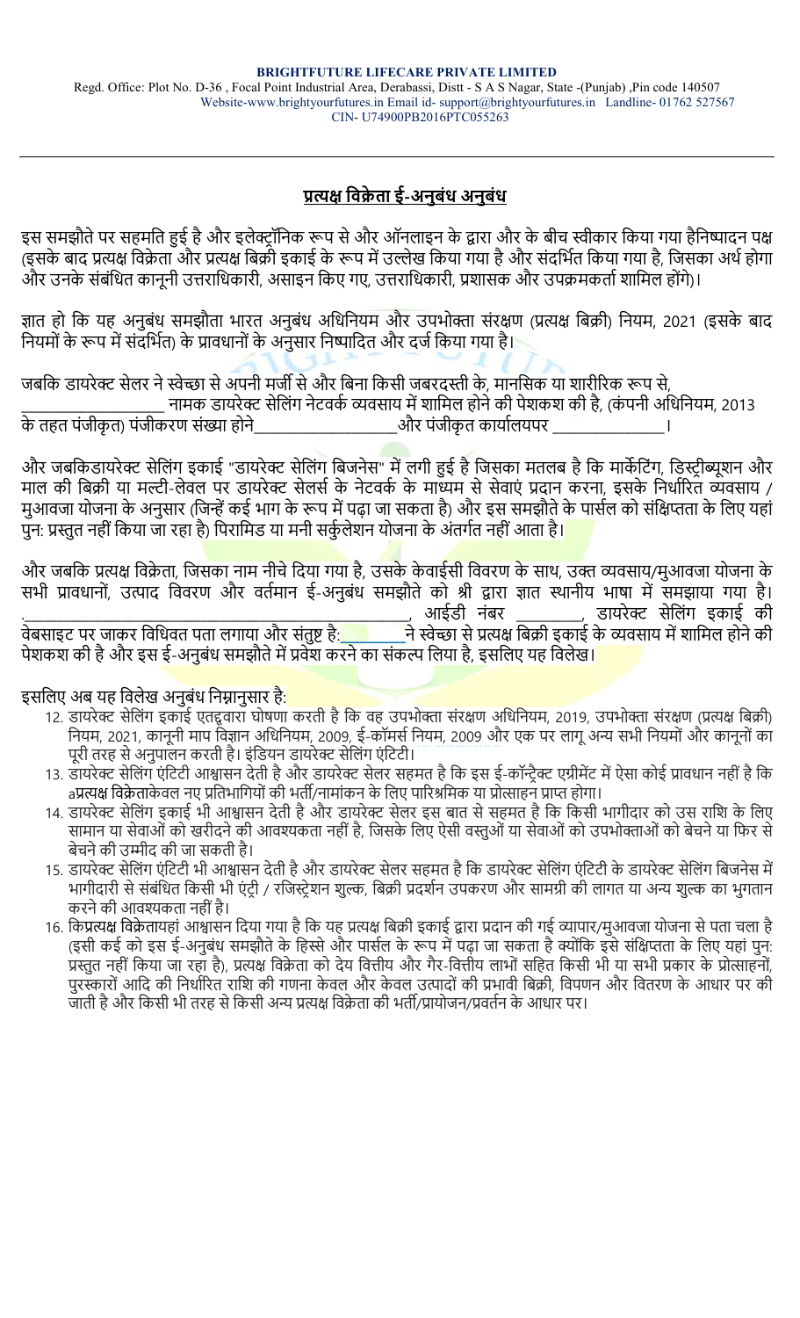# <u>प्रत्यक्ष विक्रेता ई-अनुबंध अनुबंध</u>

इस समझौते पर सहमति हुई है और इलेक्ट्रॉनिक रूप से और ऑनलाइन के द्वारा और के बीच स्वीकार किया गया हैनिष्पादन पक्ष (इसके बाद प्रत्यक्ष विक्रेता और प्रत्यक्ष बिक्री इकाई के रूप में उल्लेख किया गया है और संदर्भित किया गया है, जिसका अर्थ होगा और उनके संबंधित कानूनी उत्तराधिकारी, असाइन किए गए, उत्तराधिकारी, प्रशासक और उपक्रमकर्ता शामिल होंगे)।

ज्ञात हो कि यह अनुबंध समझौता भारत अनुबंध अधिनियम और उपभोक्ता संरक्षण (प्रत्यक्ष बिक्री) नियम, 2021 (इसके बाद नियमों के रूप में संदर्भित) के प्रावधानों के अनुसार निष्पादित और दर्ज किया गया है।

जबकि डायरेक्ट सेलर ने स्वेच्छा से अपनी मर्जी से और बिना किसी जबरदस्ती के, मानसिक या शारीरिक रूप से,

नामक डायरेक्ट सेलिंग नेटवर्क व्यवसाय में शामिल होने की पेशकश की है, (कंपनी अधिनियम, 2013<br>ज्या संख्या होने बाद को बाद पंजीकृत कार्यालयपर के तहत पंजीकृत) पंजीकरण संख्या होने

और जबकिडायरेक्ट सेलिंग इकाई "डायरेक्ट सेलिंग बिजनेस" में लगी हुई है जिसका मतलब है कि मार्केटिंग, डिस्ट्रीब्यूशन और माल की बिक्री या मल्टी-लेवल पर डायरेक्ट सेलर्स के नेटवर्क के मांध्यम से सेवाएं प्रदान करना, इसके निर्धारित व्यवसाय / मुआवजा योजना के अनुसार (जिन्हें कई भाग के रूप में पढ़ा जा सकता है) और इस समझौते के पार्सल को संक्षिप्तता के लिए यहां पुन: प्रस्तुत नहीं किया जा रहा है) पिरामिड या मनी सर्कुलेशन योजना के अंतर्गत नहीं आता है।

और जबकि प्रत्यक्ष विक्रेता, जिसका नाम नीचे दिया गया है, उसके केवाईसी विवरण के साथ, उक्त व्यवसाय/मुआवजा योजना के सभी प्रावधानों, उत्पाद विवरण और वर्तमान ई-अनुबंध समझौते को श्री द्वारा ज्ञात स्थानीय भाषा में समझाया गया है। .\_\_\_\_\_\_\_\_\_\_\_\_\_\_\_\_\_\_\_\_\_\_\_\_\_\_\_\_\_\_\_\_\_\_\_\_\_\_\_\_\_\_\_\_\_\_\_\_\_\_\_\_\_\_\_\_\_\_\_, आईडी नंबर \_\_\_\_\_\_\_\_\_\_, डायरेƃ सेिलंग इकाई की वेबसाइट पर जाकर िविधवत पता लगाया और संतु' है:\_\_\_\_\_\_\_\_\_\_ने ˢेDžा से ŮȑƗ िबŢी इकाई के ʩवसाय मŐ शािमल होने की पेशकश की है और इस ई-अनुबंध समझौते में प्रवेश करने का संकल्प लिया है, इसलिए यह विलेख।

इसलिए अब यह विलेख अनुबंध निम्नानुसार है:

- 12. डायरेक्ट सेलिंग इकाई एतद्दवारा घोषणा करती है कि वह उपभोक्ता संरक्षण अधिनियम, 2019, उपभोक्ता संरक्षण (प्रत्यक्ष बिक्री) नियम, 2021, कानूनी माप विज्ञान अधिनियम, 2009, ई-कॉमर्स नियम, 2009 और एक पर लागू अन्य सभी नियमों और कानूनों का पूरी तरह से अनुपालन करती है। इंडियन डायरेक्ट सेलिंग एंटिटी।
- 13. डायरेक्ट सेलिंग एंटिटी आश्वासन देती है और डायरेक्ट सेलर सहमत है कि इस ई-कॉन्ट्रैक्ट एग्रीमेंट में ऐसा कोई प्रावधान नहीं है कि aप्रत्यक्ष विक्रेताकेवल नए प्रतिभागियों की भर्ती/नामांकन के लिए पारिश्रमिक या प्रोत्साहन प्राप्त होगा।
- 14. डायरेक्ट सेलिंग इकाई भी आश्वासन देती है और डायरेक्ट सेलर इस बात से सहमत है कि किसी भागीदार को उस राशि के लिए सामान या सेवाओं को खरीदने की आवश्यकता नहीं है, जिसके लिए ऐसी वस्तुओं या सेवाओं को उपभोक्ताओं को बेचने या फिर से बेचने की उम्मीद की जा सकती है।
- 15. डायरेक्ट सेलिंग एंटिटी भी आश्वासन देती है और डायरेक्ट सेलर सहमत है कि डायरेक्ट सेलिंग एंटिटी के डायरेक्ट सेलिंग बिजनेस में भागीदारी से संबंधित किसी भी एंटी / रजिस्टेशन शुल्क, बिक्री प्रदर्शन उपकरण और सामग्री की लागत या अन्य शुल्क का भुगतान करने की आवʴकता नहींहै।
- 16. किप्रत्यक्ष विक्रेतायहां आश्वासन दिया गया है कि यह प्रत्यक्ष बिक्री इकाई द्वारा प्रदान की गई व्यापार/मुआवजा योजना से पता चला है (इसी कई को इस ई-अनुबंध समझौते के हिस्से और पार्सल के रूप में पढ़ा जा सकता है क्योंकि इसे संक्षिप्तता के लिए यहां पुन: प्रस्तुत नहीं किया जा रहा है), प्रत्यक्ष विक्रेता को देय वित्तीय और गैर-वित्तीय लाभों सहित किसी भी या सभी प्रकार के प्रोत्साहनों, पुरस्कारों आदि की निर्धारित राशि की गणना केवल और केवल उत्पादों की प्रभावी बिक्री, विपणन और वितरण के आधार पर की जाती है और किसी भी तरह से किसी अन्य प्रत्यक्ष विक्रेता की भर्ती/प्रायोजन/प्रवर्तन के आधार पर।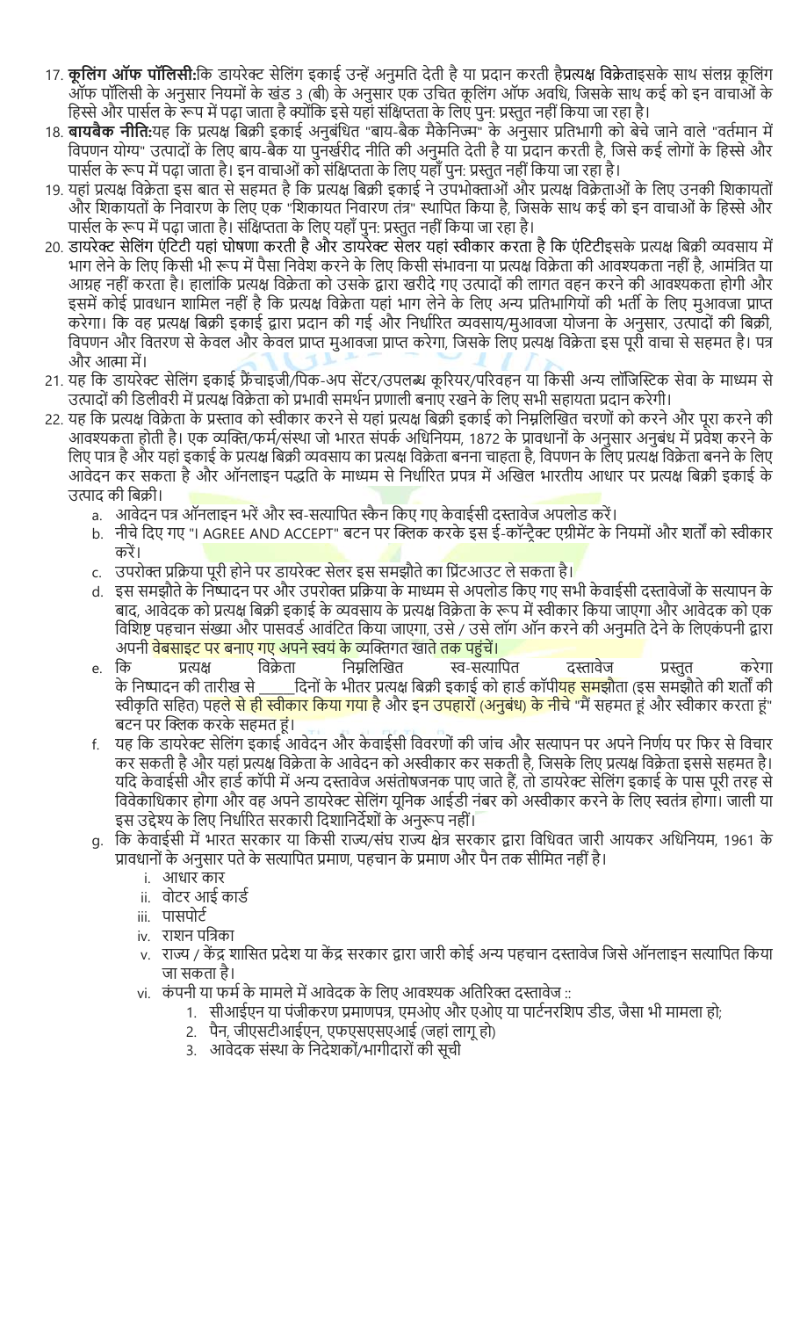- 17. **कूलिंग ऑफ पॉलिसी:**कि डायरेक्ट सेलिंग इकाई उन्हें अनुमति देती है या प्रदान करती हैप्रत्यक्ष विक्रेताइसके साथ संलग्न कूलिंग ऑफ पॉिलसी के अनुसार िनयमों के खंड 3 (बी) के अनुसार एक उिचत कूिलंग ऑफ अविध, िजसके साथ कई को इन वाचाओं के हिस्से और पार्सल के रूप में पढ़ा जाता है क्योंकि इसे यहां संक्षिप्तता के लिए पुन: प्रस्तुत नहीं किया जा रहा है।
- 18. **बायबैक नीति:**यह कि प्रत्यक्ष बिक्री इकाई अनुबंधित "बाय-बैक मैकेनिज्म" के अनुसार प्रतिभागी को बेचे जाने वाले "वर्तमान में विपणन योग्य" उत्पादों के लिए बाय-बैक या पुनर्खरीद नीति की अनुमति देती है या प्रदान करती है, जिसे कई लोगों के हिस्से और पार्सल के रूप में पढ़ा जाता है। इन वाचाओं को संक्षिप्तता के लिए यहाँ पुन: प्रस्तुत नहीं किया जा रहा है।
- 19. यहां प्रत्यक्ष विक्रेता इस बात से सहमत है कि प्रत्यक्ष बिक्री इकाई ने उपभोक्ताओं और प्रत्यक्ष विक्रेताओं के लिए उनकी शिकायतों और शिकायतों के निवारण के लिए एक "शिकायत निवारण तंत्र" स्थापित किया है, जिसके साथ कई को इन वाचाओं के हिस्से और पार्सल के रूप में पढ़ा जाता है। संक्षिप्तता के लिए यहाँ पुन: प्रस्तुत नहीं किया जा रहा है।
- 20. डायरेक्ट सेलिंग एंटिटी यहां घोषणा करती है और डायरेक्ट सेलर यहां स्वीकार करता है कि एंटिटीइसके प्रत्यक्ष बिक्री व्यवसाय में भाग लेने के लिए किसी भी रूप में पैसा निवेश करने के लिए किसी संभावना या प्रत्यक्ष विक्रेता की आवश्यकता नहीं है, आमंत्रित या आग्रह नहीं करता है। हालांकि प्रत्यक्ष विक्रेता को उसके द्वारा खरीदे गए उत्पादों की लागत वहन करने की आवश्यकता होगी और इसमें कोई प्रावधान शामिल नहीं है कि प्रत्यक्ष विक्रेता यहां भाग लेने के लिए अन्य प्रतिभागियों की भर्ती के लिए मुआवजा प्राप्त करेगा। कि वह प्रत्यक्ष बिक्री इकाई द्वारा प्रदान की गई और निर्धारित व्यवसाय/मुआवजा योजना के अनुसार, उत्पादों की बिक्री, विपणन और वितरण से केवल और केवल प्राप्त मुआवजा प्राप्त करेगा, जिसके लिए प्रत्यक्ष विक्रेता इस पूरी वाचा से सहमत है। पत्र और आत्मा में।
- 21. यह कि डायरेक्ट सेलिंग इकाई फ्रैंचाइजी/पिक-अप सेंटर/उपलब्ध कूरियर/परिवहन या किसी अन्य लॉजिस्टिक सेवा के माध्यम से उत्पादों की डिलीवरी में प्रत्यक्ष विक्रेता को प्रभावी समर्थन प्रणाली बनाए रखने के लिए सभी सहायता प्रदान करेगी।
- 22. यह कि प्रत्यक्ष विक्रेता के प्रस्ताव को स्वीकार करने से यहां प्रत्यक्ष बिक्री इकाई को निम्नलिखित चरणों को करने और पूरा करने की आवश्यकता होती है। एक व्यक्ति/फर्म/संस्था जो भारत संपर्क अधिनियम, 1872 के प्रावधानों के अनुसार अनुबंध में प्रवेश करने के लिए पात्र है और यहां इकाई के प्रत्यक्ष बिक्री व्यवसाय का प्रत्यक्ष विक्रेता बनना चाहता है, विपणन के लिए प्रत्यक्ष विक्रेता बनने के लिए आवेदन कर सकता है और ऑनलाइन पद्धति के माध्यम से निर्धारित प्रपत्र में अखिल भारतीय आधार पर प्रत्यक्ष बिक्री इकाई के उत्पाद की बिक्री।
	- a. आवेदन पत्र ऑनलाइन भरें और स्व-सत्यापित स्कैन किए गए केवाईसी दस्तावेज अपलोड करें।
	- b. नीचे दिए गए "I AGREE AND ACCEPT" बटन पर क्लिक करके इस ई-कॉन्ट्रैक्ट एग्रीमेंट के नियमों और शर्तों को स्वीकार करें।
	- c. उपरोक्त प्रक्रिया पूरी होने पर डायरेक्ट सेलर इस समझौते का प्रिंटआउट ले सकता है।
	- d. इस समझौते के निष्पादन पर और उपरोक्त प्रक्रिया के माध्यम से अपलोड किए गए सभी केवाईसी दस्तावेजों के सत्यापन के बाद, आवेदक को प्रत्यक्ष बिक्री इकाई के व्यवसाय के प्रत्यक्ष विक्रेता के रूप में स्वीकार किया जाएगा और आवेदक को एक विशिष्ट पहचान संख्या और पासवर्ड आवंटित किया जाएगा, उसे / उसे लॉग ऑन करने की अनुमति देने के लिएकंपनी द्वारा अपन<mark>ी वेबसाइट पर बनाए गए अपने स्वयं के </mark>व्यक्तिगत खाते तक पहुंचें।
	- e. कि प्रत्यक्ष विक्रेता निम्नलिखित स्व-सत्यापित दस्तावेज प्रस्तुत करेगा के निष्पादन की तारीख से \_\_\_\_\_\_दिनों के भीतर प्रत्यक्ष बिक्री इकाई को हार्ड कॉपी<mark>यह समझौ</mark>ता (इस समझौते की शर्तों की स्वीकृति सहित) <mark>पहले से ही स्वीकार किया गया है</mark> और इन उपहारों (अनुबंध) के नीचे "मैं सहमत हूं और स्वीकार करता हूं" <u>बटन पर क्लिक करके सहमत हं।</u>
	- f. यह कि डायरेक्ट सेलिंग इकाई आवेदन और केवाईसी विवरणों की जांच और सत्यापन पर अपने निर्णय पर फिर से विचार कर सकती है और यहां प्रत्यक्ष विक्रेता के आवेदन को अस्वीकार कर सकती है, जिसके लिए प्रत्यक्ष विक्रेता इससे सहमत है। यदि केवाईसी और हार्ड कॉपी में अन्य दस्तावेज असंतोषजनक पाए जाते हैं, तो डायरेक्ट सेलिंग इकाई के पास पूरी तरह से विवेकाधिकार होगा और वह अपने डायरेक्ट सेलिंग यूनिक आईडी नंबर को अस्वीकार करने के लिए स्वतंत्र होगा। जाली या इस उद्देश्य के लिए निर्धारित सरकारी दिशानिर्देशों के अनुरूप नहीं।
	- g. कि केवाईसी में भारत सरकार या किसी राज्य/संघ राज्य क्षेत्र सरकार द्वारा विधिवत जारी आयकर अधिनियम, 1961 के प्रावधानों के अनुसार पते के सत्यापित प्रमाण, पहचान के प्रमाण और पैन तक सीमित नहीं है।
		- i. आधार कार
		- ii. वोटर आई कार्ड
		- iii. पासपोर्ट
		- iv. राशन पत्रिका
		- v. राज्य / केंद्र शासित प्रदेश या केंद्र सरकार द्वारा जारी कोई अन्य पहचान दस्तावेज जिसे ऑनलाइन सत्यापित किया जा सकता है।
		- vi. कंपनी या फर्म के मामले में आवेदक के लिए आवश्यक अतिरिक्त दस्तावेज ::
			- 1. सीआईएन या पंजीकरण प्रमाणपत्र, एमओए और एओए या पार्टनरशिप डीड, जैसा भी मामला हो;
			- 2. पैन, जीएसटीआईएन, एफएसएसएआई (जहां लागू हो)
			- 3. आवेदक संस्था के निदेशकों/भागीदारों की सूची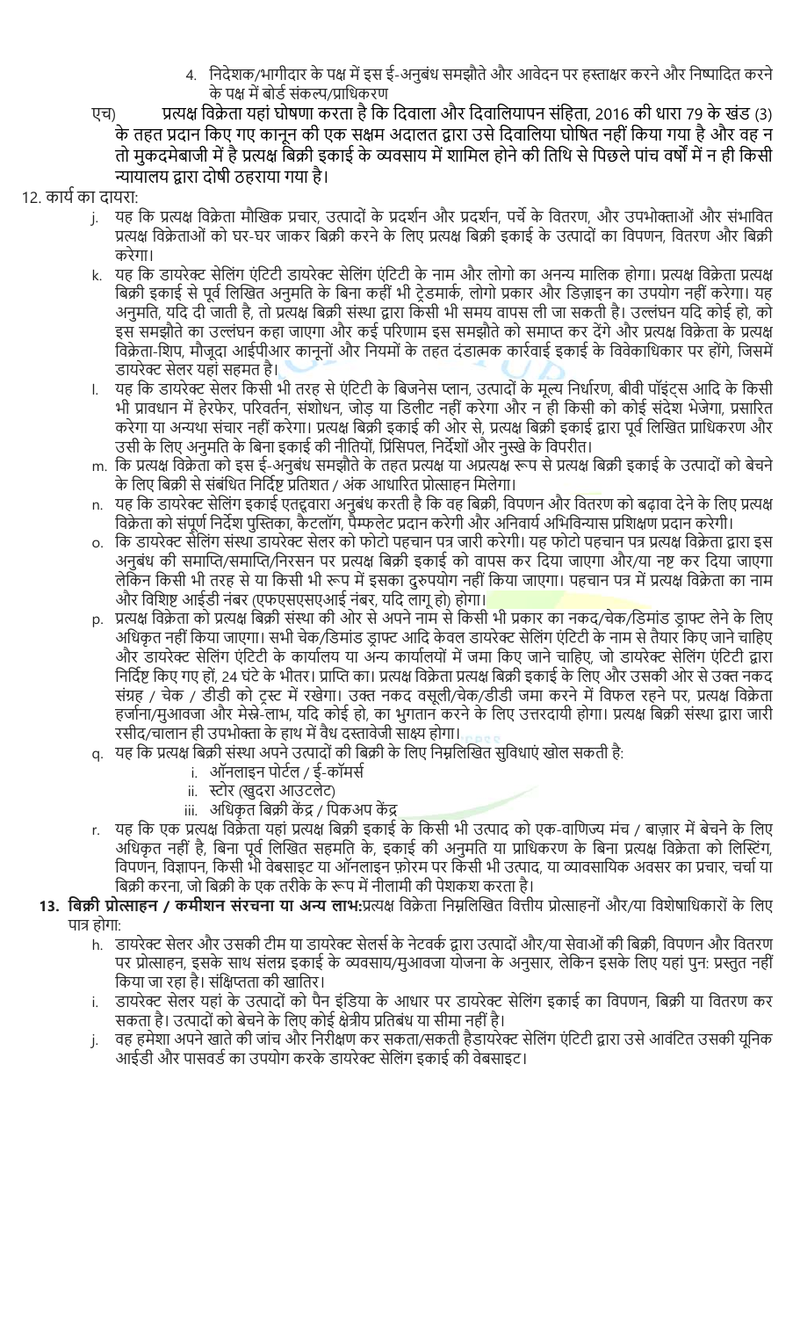- 4. निदेशक/भागीदार के पक्ष में इस ई-अनुबंध समझौते और आवेदन पर हस्ताक्षर करने और निष्पादित करने . के पक्ष में बोर्ड संकल्प/प्राधिकरण
- एच) प्रत्यक्ष विक्रेता यहां घोषणा करता है कि दिवाला और दिवालियापन संहिता, 2016 की धारा 79 के खंड (3) के तहत प्रदान किए गए कानून की एक सक्षम अदालत द्वारा उसे दिवालिया घोषित नहीं किया गया है और वह न तो मुकदमेबाजी में है प्रत्यक्ष बिक्री इकाई के व्यवसाय में शामिल होने की तिथि से पिछले पांच वर्षों में न ही किसी Ɋायालय Ȫारा दोषी ठहराया गया है।

# 12. कार्य का दायरा:

- j. यह कि प्रत्यक्ष विक्रेता मौखिक प्रचार, उत्पादों के प्रदर्शन और प्रदर्शन, पर्चे के वितरण, और उपभोक्ताओं और संभावित प्रत्यक्ष विक्रेताओं को घर-घर जाकर बिक्री करने के लिए प्रत्यक्ष बिक्री इकाई के उत्पादों का विपणन, वितरण और बिक्री करेगा।
- k. यह कि डायरेक्ट सेलिंग एंटिटी डायरेक्ट सेलिंग एंटिटी के नाम और लोगो का अनन्य मालिक होगा। प्रत्यक्ष विक्रेता प्रत्यक्ष बिक्री इकाई से पूर्व लिखित अनुमति के बिना कहीं भी टेडमार्क, लोगो प्रकार और डिज़ाइन का उपयोग नहीं करेगा। यह अनुमति, यदि दी जाती है, तो प्रत्यक्ष बिक्री संस्था द्वारा किसी भी समय वापस ली जा सकती है। उल्लंघन यदि कोई हो, को इस समझौते का उल्लंघन कहा जाएगा और कई परिणाम इस समझौते को समाप्त कर देंगे और प्रत्यक्ष विक्रेता के प्रत्यक्ष विक्रेता-शिप, मौजूदा आईपीआर कानूनों और नियमों के तहत दंडात्मक कार्रवाई इकाई के विवेकाधिकार पर होंगे, जिसमें डायरेक्ट सेलर यहां सहमत है।
- l. यह कि डायरेक्ट सेलर किसी भी तरह से एंटिटी के बिजनेस प्लान, उत्पादों के मूल्य निर्धारण, बीवी पॉइंट्स आदि के किसी भी प्रावधान में हेरफेर, परिवर्तन, संशोधन, जोड़ या डिलीट नहीं करेगा और न ही किसी को कोई संदेश भेजेगा, प्रसारित करेगा या अन्यथा संचार नहीं करेगा। प्रत्यक्ष बिक्री इकाई की ओर से, प्रत्यक्ष बिक्री इकाई द्वारा पूर्व लिखित प्राधिकरण और उसी के लिए अनुमति के बिना इकाई की नीतियों, प्रिंसिपल, निर्देशों और नुस्खे के विपरीत।
- m. कि प्रत्यक्ष विक्रेता को इस ई-अनुबंध समझौते के तहत प्रत्यक्ष या अप्रत्यक्ष रूप से प्रत्यक्ष बिक्री इकाई के उत्पादों को बेचने के लिए बिक्री से संबंधित निर्दिष्ट प्रतिशत / अंक आधारित प्रोत्साहन मिलेगा।
- n. यह कि डायरेक्ट सेलिंग इकाई एतद्दवारा अनुबंध करती है कि वह बिक्री, विपणन और वितरण को बढ़ावा देने के लिए प्रत्यक्ष विक्रेता को संपूर्ण निर्देश पुस्तिका, कैटलॉग, पैम्फलेट प्रदान करेगी और अनिवार्य अभिविन्यास प्रशिक्षण प्रदान करेगी।
- o. कि डायरेक्ट सेलिंग संस्था डायरेक्ट सेलर को फोटो पहचान पत्र जारी करेगी। यह फोटो पहचान पत्र प्रत्यक्ष विक्रेता द्वारा इस अनुबंध की समाप्ति/समाप्ति/निरसन पर प्रत्यक्ष बिक्री इकाई को वापस कर दिया जाएगा और/या नष्ट कर दिया जाएगा लेकिन किसी भी तरह से या किसी भी रूप में इसका दुरुपयोग नहीं किया जाएगा। पहचान पत्र में प्रत्यक्ष विक्रेता का नाम और विशिष्ट आईडी नंबर (एफएसएसएआई नंबर, यदि लागू हो) होगा।
- p.) प्रत्यक्ष विक्रेता को प्रत्यक्ष बिक्री संस्था की ओर से अपने नाम से किसी भी प्रकार का नकद/चेक/डिमांड डाफ्ट लेने के लिए अधिकृत नहीं किया जाएगा। सभी चेक/डिमांड डाफ्ट आदि केवल डायरेक्ट सेलिंग एंटिटी के नाम से तैयार किए जाने चाहिए और डायरेक्ट सेलिंग एंटिटी के कार्यालय या अन्य कार्यालयों में जमा किए जाने चाहिए, जो डायरेक्ट सेलिंग एंटिटी द्वारा निर्दिष्ट किए गए हों, 24 घंटे के भीतर। प्राप्ति का। प्रत्यक्ष विक्रेता प्रत्यक्ष बिक्री इकाई के लिए और उसकी ओर से उक्त नकद संग्रह / चेक / डीडी को ट्स्ट में रखेगा। उक्त नकद वसूली/चेक/डीडी जमा करने में विफल रहने पर, प्रत्यक्ष विक्रेता हर्जाना/मुआवजा और मेस्ने-लाभ, यदि कोई हो, का भुगतान करने के लिए उत्तरदायी होगा। प्रत्यक्ष बिक्री संस्था द्वारा जारी रसीद/चालान ही उपभोक्ता के हाथ में वैध दस्तावेजी साक्ष्य होगा।
- q. यह कि प्रत्यक्ष बिक्री संस्था अपने उत्पादों की बिक्री के लिए निम्नलिखित सुविधाएं खोल सकती है:
	- i. ऑनलाइन पोर्टल / ई-कॉमर्स
	- ii. स्टोर (खुदरा आउटलेट)
	- iii. अधिकृत बिक्री केंद्र / पिकअप केंद्र
- r. यह कि एक प्रत्यक्ष विक्रेता यहां प्रत्यक्ष बिक्री इकाई के किसी भी उत्पाद को एक-वाणिज्य मंच / बाज़ार में बेचने के लिए अधिकृत नहीं है, बिना पूर्व लिखित सहमति के, इकाई की अनुमति या प्राधिकरण के बिना प्रत्यक्ष विक्रेता को लिस्टिंग, विपणन, विज्ञापन, किसी भी वेबसाइट या ऑनलाइन फ़ोरम पर किसी भी उत्पाद, या व्यावसायिक अवसर का प्रचार, चर्चा या बिक्री करना, जो बिक्री के एक तरीके के रूप में नीलामी की पेशकश करता है।
- 13. बिक्री प्रोत्साहन / कमीशन संरचना या अन्य लाभ:प्रत्यक्ष विक्रेता निम्नलिखित वित्तीय प्रोत्साहनों और/या विशेषाधिकारों के लिए पात्र होगा:
	- h. डायरेक्ट सेलर और उसकी टीम या डायरेक्ट सेलर्स के नेटवर्क द्वारा उत्पादों और/या सेवाओं की बिक्री, विपणन और वितरण पर प्रोत्साहन, इसके साथ संलग्न इकाई के व्यवसाय/मुआवजा योजना के अनुसार, लेकिन इसके लिए यहां पुन: प्रस्तुत नहीं किया जा रहा है। संक्षिप्तता की खातिर।
	- i. डायरेक्ट सेलर यहां के उत्पादों को पैन इंडिया के आधार पर डायरेक्ट सेलिंग इकाई का विपणन, बिक्री या वितरण कर सकता है। उत्पादों को बेचने के लिए कोई क्षेत्रीय प्रतिबंध या सीमा नहीं है।
	- j. वह हमेशा अपने खाते की जांच और निरीक्षण कर सकता/सकती हैडायरेक्ट सेलिंग एंटिटी द्वारा उसे आवंटित उसकी यूनिक आईडी और पासवर्ड का उपयोग करके डायरेक्ट सेलिंग इकाई की वेबसाइट।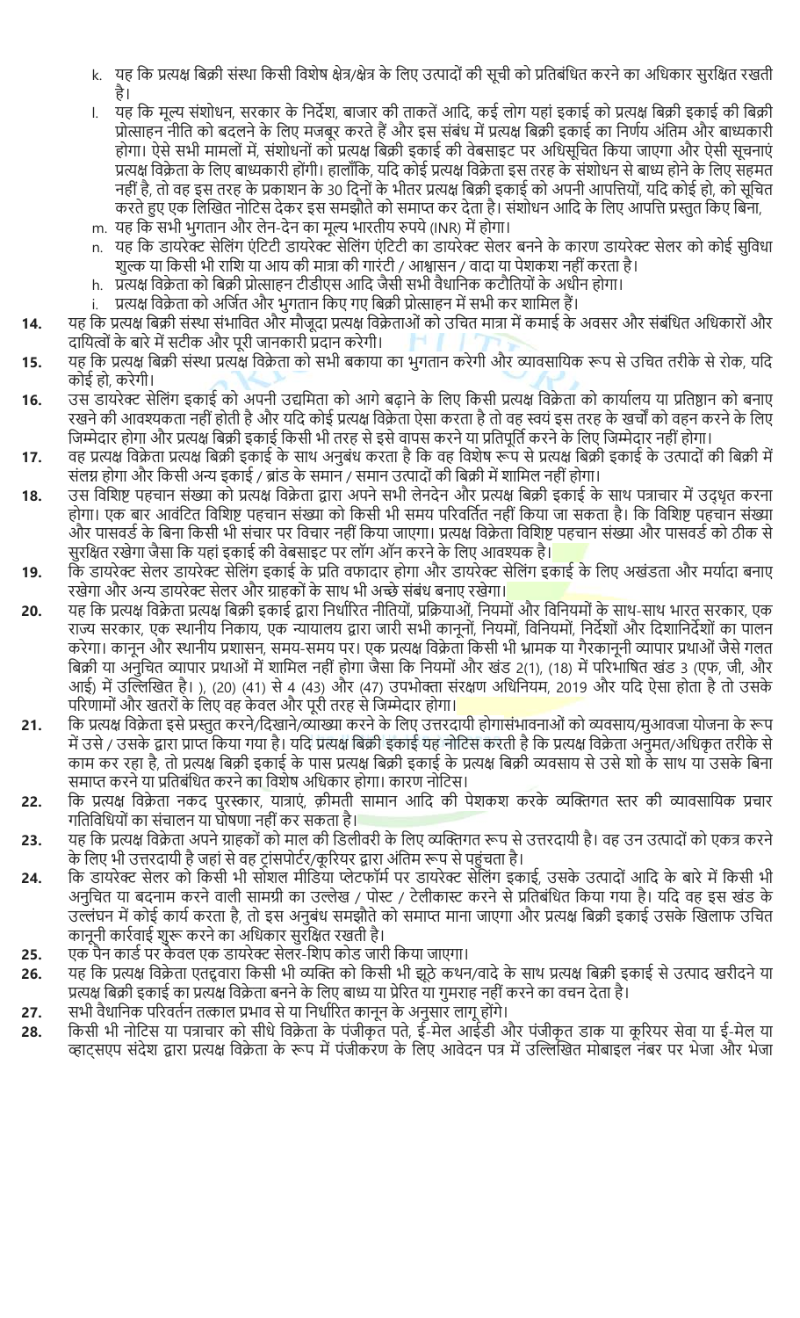- k. यह कि प्रत्यक्ष बिक्री संस्था किसी विशेष क्षेत्र/क्षेत्र के लिए उत्पादों की सूची को प्रतिबंधित करने का अधिकार सुरक्षित रखती है।
- l. यह कि मूल्य संशोधन, सरकार के निर्देश, बाजार की ताकतें आदि, कई लोग यहां इकाई को प्रत्यक्ष बिक्री इकाई की बिक्री प्रोत्साहन नीति को बदलने के लिए मजबूर करते हैं और इस संबंध में प्रत्यक्ष बिक्री इकाई का निर्णय अंतिम और बाध्यकारी होगा। ऐसे सभी मामलों में, संशोधनों को प्रत्यक्ष बिक्री इकाई की वेबसाइट पर अधिसूचित किया जाएगा और ऐसी सूचनाएं प्रत्यक्ष विक्रेता के लिए बाध्यकारी होंगी। हालाँकि, यदि कोई प्रत्यक्ष विक्रेता इस तरह के संशोधन से बाध्य होने के लिए सहमत नहीं है, तो वह इस तरह के प्रकाशन के 30 दिनों के भीतर प्रत्यक्ष बिक्री इकाई को अपनी आपत्तियों, यदि कोई हो, को सूचित करते हुए एक लिखित नोटिस देकर इस समझौते को समाप्त कर देता है। संशोधन आदि के लिए आपत्ति प्रस्तुत किए बिना,
- m. यह कि सभी भुगतान और लेन-देन का मूल्य भारतीय रुपये (INR) में होगा।
- n. यह कि डायरेक्ट सेलिंग एंटिटी डायरेक्ट सेलिंग एंटिटी का डायरेक्ट सेलर बनने के कारण डायरेक्ट सेलर को कोई सुविधा शुल्क या किसी भी राशि या आय की मात्रा की गारंटी / आश्वासन / वादा या पेशकश नहीं करता है।
- h. प्रत्यक्ष विक्रेता को बिक्री प्रोत्साहन टीडीएस आदि जैसी सभी वैधानिक कटौतियों के अधीन होगा।
- प्रत्यक्ष विक्रेता को अर्जित और भुगतान किए गए बिक्री प्रोत्साहन में सभी कर शामिल हैं।
- 14. यह कि प्रत्यक्ष बिक्री संस्था संभावित और मौजूदा प्रत्यक्ष विक्रेताओं को उचित मात्रा में कमाई के अवसर और संबंधित अधिकारों और दायित्वों के बारे में सटीक और पूरी जानकारी प्रदान करेगी।
- 15. यह कि प्रत्यक्ष बिक्री संस्था प्रत्यक्ष विक्रेता को सभी बकाया का भुगतान करेगी और व्यावसायिक रूप से उचित तरीके से रोक, यदि कोई हो, करेगी।
- 16. उस डायरेक्ट सेलिंग इकाई को अपनी उद्यमिता को आगे बढ़ाने के लिए किसी प्रत्यक्ष विक्रेता को कार्यालय या प्रतिष्ठान को बनाए रखने की आवश्यकता नहीं होती है और यदि कोई प्रत्यक्ष विक्रेता ऐसा करता है तो वह स्वयं इस तरह के खर्चों को वहन करने के लिए जिम्मेदार होगा और प्रत्यक्ष बिक्री इकाई किसी भी तरह से इसे वापस करने या प्रतिपूर्ति करने के लिए जिम्मेदार नहीं होगा।
- 17. वह प्रत्यक्ष विक्रेता प्रत्यक्ष बिक्री इकाई के साथ अनुबंध करता है कि वह विशेष रूप से प्रत्यक्ष बिक्री इकाई के उत्पादों की बिक्री में संलग्न होगा और किसी अन्य इकाई / ब्रांड के समान / समान उत्पादों की बिक्री में शामिल नहीं होगा।
- 18. उस विशिष्ट पहचान संख्या को प्रत्यक्ष विक्रेता द्वारा अपने सभी लेनदेन और प्रत्यक्ष बिक्री इकाई के साथ पत्राचार में उद्धृत करना होगा। एक बार आवंटित विशिष्ट पहचान संख्या को किसी भी समय परिवर्तित नहीं किया जा सकता है। कि विशिष्ट पहचान संख्या और पासवर्ड के बिना किसी भी संचार पर विचार नहीं किया जाएगा। प्रत्यक्ष विक्रेता विशिष्ट पहचान संख्या और पासवर्ड को ठीक से सुरक्षित रखेगा जैसा कि यहां इकाई की वेबसाइट पर लॉग ऑन करने के लिए आवश्यक है।
- 19. कि डायरेक्ट सेलर डायरेक्ट सेलिंग इकाई के प्रति वफादार होगा और डायरेक्ट सेलिंग इकाई के लिए अखंडता और मर्यादा बनाए रखेगा और अन्य डायरेक्ट सेलर और ग्राहकों के साथ भी अच्छे संबंध बनाए रखेगा।
- 20. यह कि प्रत्यक्ष विक्रेता प्रत्यक्ष बिक्री इकाई द्वारा निर्धारित नीतियों, प्रक्रियाओं, नियमों और विनियमों के साथ-साथ भारत सरकार, एक राज्य सरकार, एक स्थानीय निकाय, एक न्यायालय द्वारा जारी सभी कानूनों, नियमों, विनियमों, निर्देशों और दिशानिर्देशों का पालन करेगा। कानून और स्थानीय प्रशासन, समय-समय पर। एक प्रत्यक्ष विक्रेता किसी भी भ्रामक या गैरकानूनी व्यापार प्रथाओं जैसे गलत बिक्री या अनुचित व्यापार प्रथाओं में शामिल नहीं होगा जैसा कि नियमों और खंड 2(1), (18) में परिभाषित खंड 3 (एफ, जी, और आई) में उल्लिखित है। ), (20) (41) से 4 (43) और (47) उपभोक्ता संरक्षण अधिनियम, 2019 और यदि ऐसा होता है तो उसके परिणामों और खतरों के लिए वह केवल और पूरी तरह से जिम्मेदार होगा।
- 21. कि प्रत्यक्ष विक्रेता इसे प्रस्तुत करने/दिखाने/व्याख्या करने के लिए उत्तरदायी होगासंभावनाओं को व्यवसाय/मुआवजा योजना के रूप में उसे / उसके द्वारा प्राप्त किया गया है। यदि प्रत्यक्ष बिक्री इकाई यह नोटिस करती है कि प्रत्यक्ष विक्रेता अनुमत/अधिकृत तरीके से काम कर रहा है, तो प्रत्यक्ष बिक्री इकाई के पास प्रत्यक्ष बिक्री इकाई के प्रत्यक्ष बिक्री व्यवसाय से उसे शो के साथ या उसके बिना समाप्त करने या प्रतिबंधित करने का विशेष अधिकार होगा। कारण नोटिस।
- 22. वि प्रत्यक्ष विक्रेता नकद पुरस्कार, यात्राएं, क़ीमती सामान आदि की पेशकश करके व्यक्तिगत स्तर की व्यावसायिक प्रचार गितिविधयोंका संचालन या घोषणा नहींकर सकता है।
- 23. यह कि प्रत्यक्ष विक्रेता अपने ग्राहकों को माल की डिलीवरी के लिए व्यक्तिगत रूप से उत्तरदायी है। वह उन उत्पादों को एकत्र करने के लिए भी उत्तरदायी है जहां से वह ट्रांसपोर्टर/कूरियर द्वारा अंतिम रूप से पहुंचता है।
- 24. कि डायरेक्ट सेलर को किसी भी सोशल मीडिया प्लेटफॉर्म पर डायरेक्ट सेलिंग इकाई, उसके उत्पादों आदि के बारे में किसी भी अनुचित या बदनाम करने वाली सामग्री का उल्लेख / पोस्ट / टेलीकास्ट करने से प्रतिबंधित किया गया है। यदि वह इस खंड के उल्लंघन में कोई कार्य करता है, तो इस अनुबंध समझौते को समाप्त माना जाएगा और प्रत्यक्ष बिक्री इकाई उसके खिलाफ उचित कानूनी कार्रवाई शुरू करने का अधिकार सुरक्षित रखती है।
- 25. एक पैन कार्ड पर केवल एक डायरेक्ट सेलर-शिप कोड जारी किया जाएगा।
- 26. यह कि प्रत्यक्ष विक्रेता एतद्दवारा किसी भी व्यक्ति को किसी भी झूठे कथन/वादे के साथ प्रत्यक्ष बिक्री इकाई से उत्पाद खरीदने या प्रत्यक्ष बिक्री इकाई का प्रत्यक्ष विक्रेता बनने के लिए बाध्य या प्रेरित या गुमराह नहीं करने का वचन देता है।
- 27. सभी वैधानिक परिवर्तन तत्काल प्रभाव से या निर्धारित कानून के अनुसार लागू होंगे।
- 28. किसी भी नोटिस या पत्राचार को सीधे विक्रेता के पंजीकृत पते, ई-मेल आईडी और पंजीकृत डाक या कूरियर सेवा या ई-मेल या व्हाट्सएप संदेश द्वारा प्रत्यक्ष विक्रेता के रूप में पंजीकरण के लिए आवेदन पत्र में उल्लिखित मोबाइल नंबर पर भेजा और भेजा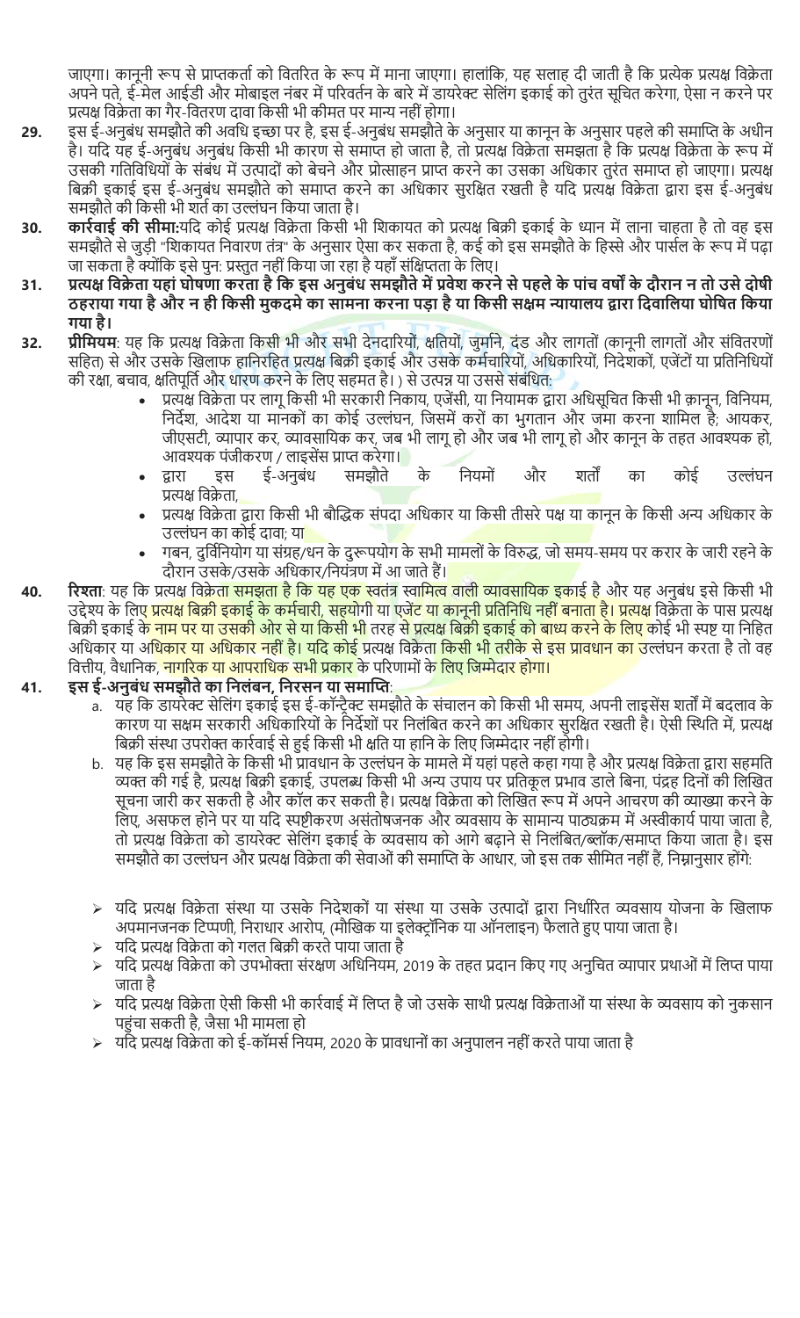जाएगा। कानूनी रूप से प्राप्तकर्ता को वितरित के रूप में माना जाएगा। हालांकि, यह सलाह दी जाती है कि प्रत्येक प्रत्यक्ष विक्रेता अपने पते. ई-मेल आईडी और मोबाइल नंबर में परिवर्तन के बारे में डायरेक्ट सेलिंग इकाई को तरंत सचित करेगा. ऐसा न करने पर प्रत्यक्ष विक्रेता का गैर-वितरण दावा किसी भी कीमत पर मान्य नहीं होगा।

- 29. हस ई-अनुबंध समझौते की अवधि इच्छा पर है, इस ई-अनुबंध समझौते के अनुसार या कानून के अनुसार पहले की समाप्ति के अधीन है। यदि यह ई-अनुबंध अनुबंध किसी भी कारण से समाप्त हो जाता है, तो प्रत्यक्ष विक्रेता समझता है कि प्रत्यक्ष विक्रेता के रूप में उसकी गतिविधियों के संबंध में उत्पादों को बेचने और प्रोत्साहन प्राप्त करने का उसका अधिकार तुरंत समाप्त हो जाएगा। प्रत्यक्ष बिक्री इकाई इस ई-अनुबंध समझौते को समाप्त करने का अधिकार सुरक्षित रखती है यदि प्रत्यक्ष विक्रेता द्वारा इस ई-अनुबंध समझौते की किसी भी शर्त का उल्लंघन किया जाता है।
- 30. कार्रवाई की सीमा:यदि कोई प्रत्यक्ष विक्रेता किसी भी शिकायत को प्रत्यक्ष बिक्री इकाई के ध्यान में लाना चाहता है तो वह इस समझौते से जुड़ी "शिकायत निवारण तंत्र" के अनुसार ऐसा कर सकता है, कई को इस समझौते के हिस्से और पार्सल के रूप में पढ़ा जा सकता है क्योंकि इसे पुन: प्रस्तुत नहीं किया जा रहा है यहाँ संक्षिप्तता के लिए।
- 31. प्रत्यक्ष विक्रेता यहां घोषणा करता है कि इस अनुबंध समझौते में प्रवेश करने से पहले के पांच वर्षों के दौरान न तो उसे दोषी ठहराया गया है और न ही किसी मुकदमे का सामना करना पड़ा है या किसी सक्षम न्यायालय द्वारा दिवालिया घोषित किया गया है।
- 32. प्रीमियम: यह कि प्रत्यक्ष विक्रेता किसी भी और सभी देनदारियों, क्षतियों, जुर्माने, दंड और लागतों (कानूनी लागतों और संवितरणों सहित) से और उसके खिलाफ हानिरहित प्रत्यक्ष बिक्री इकाई और उसके कर्मचारियों, अधिकारियों, निदेशकों, एजेंटों या प्रतिनिधियों की रक्षा, बचाव, क्षतिपूर्ति और धारण करने के लिए सहमत है। ) से उत्पन्न या उससे संबंधित:
	- प्रत्यक्ष विक्रेता पर लागू किसी भी सरकारी निकाय, एजेंसी, या नियामक द्वारा अधिसूचित किसी भी क़ानून, विनियम, निर्देश, आदेश या मानकों का कोई उल्लंघन, जिसमें करों का भुगतान और जमा करना शामिल है; आयकर, जीएसटी, व्यापार कर, व्यावसायिक कर, जब भी लागू हो और जब भी लागू हो और कानून के तहत आवश्यक हो, आवश्यक पंजीकरण / लाइसेंस प्राप्त करेगा।
	- द्वारा इस ई-अनुबंध समझौते के नियमों और शतों का कोई उल्लंघन प्रत्यक्ष विक्रेता.
	- प्रत्यक्ष विक्रेता द्वारा किसी भी बौद्धिक संपदा अधिकार या किसी तीसरे पक्ष या कानून के किसी अन्य अधिकार के उल्लंघन का कोई दावा; य<mark>ा</mark>
	- गबन, दुर्विनियोग या संग्रह/धन के दुरूपयोग के सभी मामलों के विरुद्ध, जो समय-समय पर करार के जारी रहने के दौरान उसके/उसके अधिकार/नियंत्रण में आ जाते हैं।
- 40. । रिश्ता: यह कि प्रत्यक्ष <u>विक्रेता समझता है कि यह एक स्वतंत्र</u> स्वामित्व वाली व्यावसायिक इकाई है और यह अनुबंध इसे किसी भी उद्देश्य के लिए <mark>प्रत्यक्ष बिक्री इकाई के कर्मचारी, सहयोगी या एजेंट या कानूनी प्रतिनिधि नहीं बनाता है। प्रत्यक्ष विक्रेता के पास प्रत्यक्ष</mark> बिक्री इकाई क<mark>े नाम पर या उसकी ओर से या किसी भी</mark> तरह स<mark>े प्रत्यक्ष बिक्री इकाई को बाध्य करने के लिए</mark> कोई भी स्पष्ट या निहित अधिकार या अ<mark>धिकार या अधिकार नहीं है। यदि कोई प्र</mark>त्यक्ष विक्रेता किसी भी तरीके से इस प्रावधान का उल्लंघन करता है तो वह वित्तीय, वैधानिक, <mark>नागरिक या आपराधिक सभी प्रकार</mark> के परिणामों क<mark>े लिए जिम्मेदार होगा।</mark>

# 41. इस ई-अनुबंध समझौते का निलंबन, निरसन या समाप्ति:

- a. ) यह कि डायरेक्ट सेलिंग इकाई इस ई-कॉन्ट्रैक्ट समझौते के संचालन को किसी भी समय, अपनी लाइसेंस शर्तों में बदलाव क कारण या सक्षम सरकारी अधिकारियों के निर्देशों पर निलंबित करने का अधिकार सुरक्षित रखती है। ऐसी स्थिति में, प्रत्यक्ष बिक्री संस्था उपरोक्त कार्रवाई से हुई किसी भी क्षति या हानि के लिए जिम्मेदार नहीं होगी।
- b. यह कि इस समझौते के किसी भी प्रावधान के उल्लंघन के मामले में यहां पहले कहा गया है और प्रत्यक्ष विक्रेता द्वारा सहमति व्यक्त की गई है, प्रत्यक्ष बिक्री इकाई, उपलब्ध किसी भी अन्य उपाय पर प्रतिकूल प्रभाव डाले बिना, पंद्रह दिनों की लिखित सूचना जारी कर सकती है और कॉल कर सकती है। प्रत्यक्ष विक्रेता को लिखित रूप में अपने आचरण की व्याख्या करने के लिए, असफल होने पर या यदि स्पष्टीकरण असंतोषजनक और व्यवसाय के सामान्य पाठ्यक्रम में अस्वीकार्य पाया जाता है, तो प्रत्यक्ष विक्रेता को डायरेक्ट सेलिंग इकाई के व्यवसाय को आगे बढ़ाने से निलंबित/ब्लॉक/समाप्त किया जाता है। इस समझौते का उल्लंघन और प्रत्यक्ष विक्रेता की सेवाओं की समाप्ति के आधार, जो इस तक सीमित नहीं हैं, निम्नानुसार होंगे:
- $>$  यदि प्रत्यक्ष विक्रेता संस्था या उसके निदेशकों या संस्था या उसके उत्पादों द्वारा निर्धारित व्यवसाय योजना के खिलाफ अपमानजनक टिप्पणी, निराधार आरोप, (मौखिक या इलेक्ट्रॉनिक या ऑनलाइन) फैलाते हुए पाया जाता है।
- ्यदि प्रत्यक्ष विक्रेता को गलत बिक्री करते पाया जाता है
- यदि प्रत्यक्ष विक्रेता को उपभोक्ता संरक्षण अधिनियम, 2019 के तहत प्रदान किए गए अनुचित व्यापार प्रथाओं में लिप्त पाया जाता है
- $>$  यदि प्रत्यक्ष विक्रेता ऐसी किसी भी कार्रवाई में लिप्त है जो उसके साथी प्रत्यक्ष विक्रेताओं या संस्था के व्यवसाय को नुकसान पहंचा सकती है, जैसा भी मामला हो
- ्यदि प्रत्यक्ष विक्रेता को ई-कॉमर्स नियम, 2020 के प्रावधानों का अनुपालन नहीं करते पाया जाता है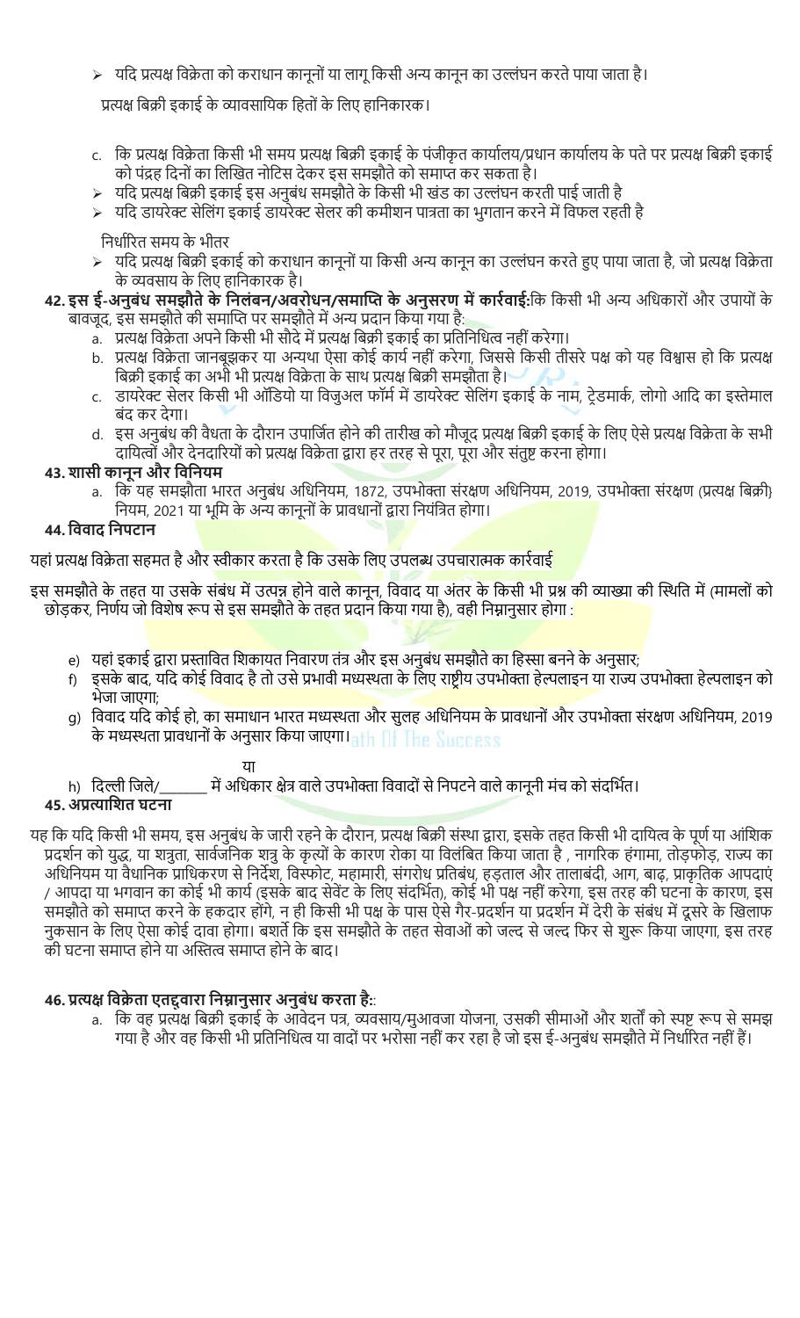$>$  यदि प्रत्यक्ष विक्रेता को कराधान कानूनों या लागू किसी अन्य कानून का उल्लंघन करते पाया जाता है।

प्रत्यक्ष बिक्री इकाई के व्यावसायिक हितों के लिए हानिकारक।

- c. कि प्रत्यक्ष विक्रेता किसी भी समय प्रत्यक्ष बिक्री इकाई के पंजीकृत कार्यालय/प्रधान कार्यालय के पते पर प्रत्यक्ष बिक्री इकाई को पंद्रह दिनों का लिखित नोटिस देकर इस समझौते को समाप्त कर सकता है।
- ≽ यदि प्रत्यक्ष बिक्री इकाई इस अनुबंध समझौते के किसी भी खंड का उल्लंघन करती पाई जाती है
- $>$  यदि डायरेक्ट सेलिंग इकाई डायरेक्ट सेलर की कमीशन पात्रता का भुगतान करने में विफल रहती है

निर्धारित समय के भीतर

- यदि प्रत्यक्ष बिक्री इकाई को कराधान कानूनों या किसी अन्य कानून का उल्लंघन करते हुए पाया जाता है, जो प्रत्यक्ष विक्रेता के व्यवसाय के लिए हानिकारक है।
- 42. इस ई-अनुबंध समझौते के निलंबन/अवरोधन/समाप्ति के अनुसरण में कार्रवाई:कि किसी भी अन्य अधिकारों और उपायों के बावजूद, इस समझौते की समाप्ति पर समझौते में अन्य प्रदान किया गया है:
	- a. ) प्रत्यक्ष विक्रेता अपने किसी भी सौदे में प्रत्यक्ष बिक्री इकाई का प्रतिनिधित्व नहीं करेगा।
	- b. प्रत्यक्ष विक्रेता जानबूझकर या अन्यथा ऐसा कोई कार्य नहीं करेगा, जिससे किसी तीसरे पक्ष को यह विश्वास हो कि प्रत्यक्ष बिक्री इकाई का अभी भी प्रत्यक्ष विक्रेता के साथ प्रत्यक्ष बिक्री समझौता है।
	- c. डायरेक्ट सेलर किसी भी ऑडियो या विजुअल फॉर्म में डायरेक्ट सेलिंग इकाई के नाम, ट्रेडमार्क, लोगो आदि का इस्तेमाल बंद कर देगा।
	- d. इस अनुबंध की वैधता के दौरान उपार्जित होने की तारीख को मौजूद प्रत्यक्ष बिक्री इकाई के लिए ऐसे प्रत्यक्ष विक्रेता के सभी दायित्वों और देनदारियों को प्रत्यक्ष विक्रेता द्वारा हर तरह से पूरा, पूरा और संतुष्ट करना होगा।

## 43. शासी कानून और िविनयम

a. कि यह समझौता भारत अनुबंध अधिनियम, 1872, उपभोक्ता संरक्षण अधिनियम, 2019, उपभोक्ता संरक्षण (प्रत्यक्ष बिक्री} नियम, 2021 या भूमि के अन्य कानूनों के प्रावधानों द्वारा नियंत्रित होगा।

## 44. िववाद िनपटान

यहां प्रत्यक्ष विक्रेता सहमत है और स्वीकार करता है कि उसके लिए उपलब्ध उपचारात्मक कार्रवाई

इस समझौते के तहत या उसके संबंध में उत्पन्न होने वाले कानून, विवाद या अंतर के किसी भी प्रश्न की व्याख्या की स्थिति में (मामलों को छोड़कर, निर्णय जो विशेष रूप से इस समझौते के तहत प्रदान किया गया है), वही निम्नानुसार होगा :

- e) यहां इकाई द्वारा प्रस्तावित शिकायत निवारण तंत्र और इस अनुबंध समझौते का हिस्सा बनने के अनुसार;
- f) इसके बाद, यदि कोई विवाद है तो उसे प्रभावी मध्यस्थता के लिए राष्ट्रीय उपभोक्ता हेल्पलाइन या राज्य उपभोक्ता हेल्पलाइन को भेजा जाएगा;
- g) विवाद यदि कोई हो, का समाधान भारत मध्यस्थता और सुलह अधिनियम के प्रावधानों और उपभोक्ता संरक्षण अधिनियम, 2019 के मध्यस्थता प्रावधानों के अनुसार किया जाएगा। तुर्तु तुर्गतिहार प्रावधार प्रावधार प्र

### या

h) दिल्ली जिले/ \_\_\_\_\_\_ में अधिकार क्षेत्र वाले उपभोक्ता विवादों से निपटने वाले कानूनी मंच को संदर्भित।

## 45. अप्रत्याशित घटना

यह कि यदि किसी भी समय, इस अनुबंध के जारी रहने के दौरान, प्रत्यक्ष बिक्री संस्था द्वारा, इसके तहत किसी भी दायित्व के पूर्ण या आंशिक प्रदर्शन को युद्ध, या शत्रुता, सार्वजनिक शत्रु के कृत्यों के कारण रोका या विलंबित किया जाता है , नागरिक हंगामा, तोड़फोड़, राज्य का अधिनियम या वैधानिक प्राधिकरण से निर्देश, विस्फोट, महामारी, संगरोध प्रतिबंध, हड़ताल और तालाबंदी, आग, बाढ़, प्राकृतिक आपदाएं / आपदा या भगवान का कोई भी कार्य (इसके बाद सेवेंट के लिए संदर्भित), कोई भी पक्ष नहीं करेगा, इस तरह की घटना के कारण, इस समझौते को समाप्त करने के हकदार होंगे, न ही किसी भी पक्ष के पास ऐसे गैर-प्रदर्शन या प्रदर्शन में देरी के संबंध में दूसरे के खिलाफ नुकसान के लिए ऐसा कोई दावा होगा। बशर्ते कि इस समझौते के तहत सेवाओं को जल्द से जल्द फिर से शुरू किया जाएगा, इस तरह की घटना समाप्त होने या अस्तित्व समाप्त होने के बाद।

## 46. प्रत्यक्ष विक्रेता एतद्दवारा निम्नानुसार अनुबंध करता है::

a. कि वह प्रत्यक्ष बिक्री इकाई के आवेदन पत्र, व्यवसाय/मुआवजा योजना, उसकी सीमाओं और शर्तों को स्पष्ट रूप से समझ गया है और वह किसी भी प्रतिनिधित्व या वादों पर भरोसा नहीं कर रहा है जो इस ई-अनुबंध समझौते में निर्धारित नहीं हैं।